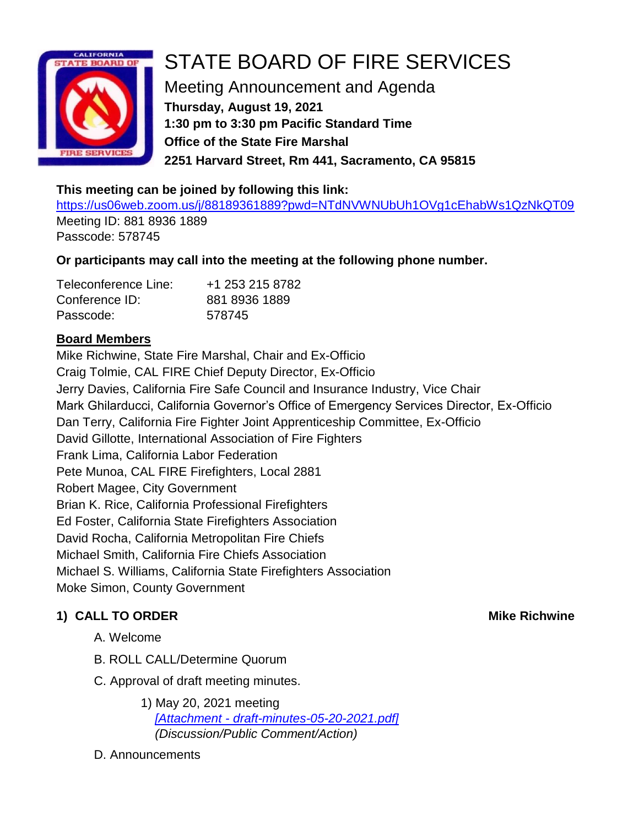

# STATE BOARD OF FIRE SERVICES

Meeting Announcement and Agenda **Thursday, August 19, 2021 1:30 pm to 3:30 pm Pacific Standard Time Office of the State Fire Marshal 2251 Harvard Street, Rm 441, Sacramento, CA 95815**

### **This meeting can be joined by following this link:**

<https://us06web.zoom.us/j/88189361889?pwd=NTdNVWNUbUh1OVg1cEhabWs1QzNkQT09> Meeting ID: 881 8936 1889 Passcode: 578745

### **Or participants may call into the meeting at the following phone number.**

| Teleconference Line: | +1 253 215 8782 |
|----------------------|-----------------|
| Conference ID:       | 881 8936 1889   |
| Passcode:            | 578745          |

### **Board Members**

Mike Richwine, State Fire Marshal, Chair and Ex-Officio Craig Tolmie, CAL FIRE Chief Deputy Director, Ex-Officio Jerry Davies, California Fire Safe Council and Insurance Industry, Vice Chair Mark Ghilarducci, California Governor's Office of Emergency Services Director, Ex-Officio Dan Terry, California Fire Fighter Joint Apprenticeship Committee, Ex-Officio David Gillotte, International Association of Fire Fighters Frank Lima, California Labor Federation Pete Munoa, CAL FIRE Firefighters, Local 2881 Robert Magee, City Government Brian K. Rice, California Professional Firefighters Ed Foster, California State Firefighters Association David Rocha, California Metropolitan Fire Chiefs Michael Smith, California Fire Chiefs Association Michael S. Williams, California State Firefighters Association Moke Simon, County Government

### **1) CALL TO ORDER Mike Richwine**

- A. Welcome
- B. ROLL CALL/Determine Quorum
- C. Approval of draft meeting minutes.
	- 1) May 20, 2021 meeting *[Attachment - [draft-minutes-05-20-2021.pdf\]](https://www.fire.ca.gov/media/x55ehl4e/draft-minutes-05-20-2021.pdf) (Discussion/Public Comment/Action)*

#### D. Announcements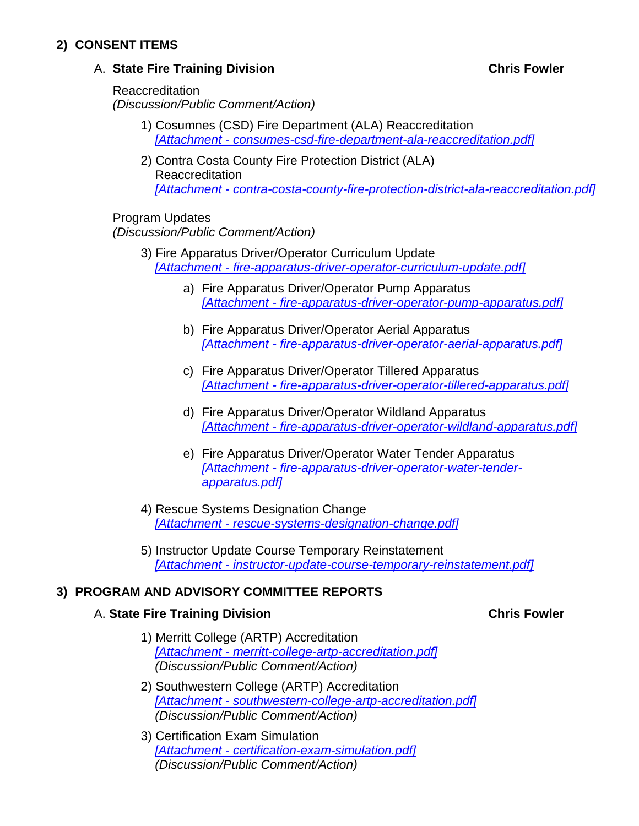#### **2) CONSENT ITEMS**

#### A. **State Fire Training Division Chris Fowler**

Reaccreditation *(Discussion/Public Comment/Action)*

- 1) Cosumnes (CSD) Fire Department (ALA) Reaccreditation *[Attachment - [consumes-csd-fire-department-ala-reaccreditation.pdf\]](https://osfm.fire.ca.gov/media/ceqfz5ne/consumes-csd-fire-department-ala-reaccreditation.pdf)*
	- 2) Contra Costa County Fire Protection District (ALA) Reaccreditation

*[Attachment - [contra-costa-county-fire-protection-district-ala-reaccreditation.pdf\]](https://osfm.fire.ca.gov/media/3u0njvkx/contra-costa-county-fire-protection-district-ala-reaccreditation.pdf)*

#### Program Updates

*(Discussion/Public Comment/Action)*

- 3) Fire Apparatus Driver/Operator Curriculum Update *[Attachment - [fire-apparatus-driver-operator-curriculum-update.pdf\]](https://osfm.fire.ca.gov/media/1lidogz1/fire-apparatus-driver-operator-curriculum-update.pdf)*
	- a) Fire Apparatus Driver/Operator Pump Apparatus *[Attachment - [fire-apparatus-driver-operator-pump-apparatus.pdf\]](https://osfm.fire.ca.gov/media/0kpachq3/fire-apparatus-driver-operator-pump-apparatus.pdf)*
	- b) Fire Apparatus Driver/Operator Aerial Apparatus *[Attachment - [fire-apparatus-driver-operator-aerial-apparatus.pdf\]](https://osfm.fire.ca.gov/media/5zciicyy/fire-apparatus-driver-operator-aerial-apparatus.pdf)*
	- c) Fire Apparatus Driver/Operator Tillered Apparatus *[Attachment - [fire-apparatus-driver-operator-tillered-apparatus.pdf\]](https://osfm.fire.ca.gov/media/00qbgxvn/fire-apparatus-driver-operator-tillered-apparatus.pdf)*
	- d) Fire Apparatus Driver/Operator Wildland Apparatus *[Attachment - [fire-apparatus-driver-operator-wildland-apparatus.pdf\]](https://osfm.fire.ca.gov/media/m04j45fi/fire-apparatus-driver-operator-wildland-apparatus.pdf)*
	- e) Fire Apparatus Driver/Operator Water Tender Apparatus *[Attachment - [fire-apparatus-driver-operator-water-tender](https://osfm.fire.ca.gov/media/ricpgczy/fire-apparatus-driver-operator-water-tender-apparatus.pdf)[apparatus.pdf\]](https://osfm.fire.ca.gov/media/ricpgczy/fire-apparatus-driver-operator-water-tender-apparatus.pdf)*
- 4) Rescue Systems Designation Change *[Attachment - [rescue-systems-designation-change.pdf\]](https://osfm.fire.ca.gov/media/fqkl5vnm/rescue-systems-designation-change.pdf)*
- 5) Instructor Update Course Temporary Reinstatement *[Attachment - [instructor-update-course-temporary-reinstatement.pdf\]](https://osfm.fire.ca.gov/media/i31e0ykq/instructor-update-course-temporary-reinstatement.pdf)*

#### **3) PROGRAM AND ADVISORY COMMITTEE REPORTS**

#### A. **State Fire Training Division Chris Fowler**

- 1) Merritt College (ARTP) Accreditation *[Attachment - [merritt-college-artp-accreditation.pdf\]](https://osfm.fire.ca.gov/media/bqbmuizp/merritt-college-artp-accreditation.pdf) (Discussion/Public Comment/Action)*
- 2) Southwestern College (ARTP) Accreditation *[Attachment - [southwestern-college-artp-accreditation.pdf\]](https://osfm.fire.ca.gov/media/vldj4x4l/southwestern-college-artp-accreditation.pdf) (Discussion/Public Comment/Action)*
- 3) Certification Exam Simulation *[Attachment - [certification-exam-simulation.pdf\]](https://osfm.fire.ca.gov/media/nhyjv1r1/certification-exam-simulation.pdf) (Discussion/Public Comment/Action)*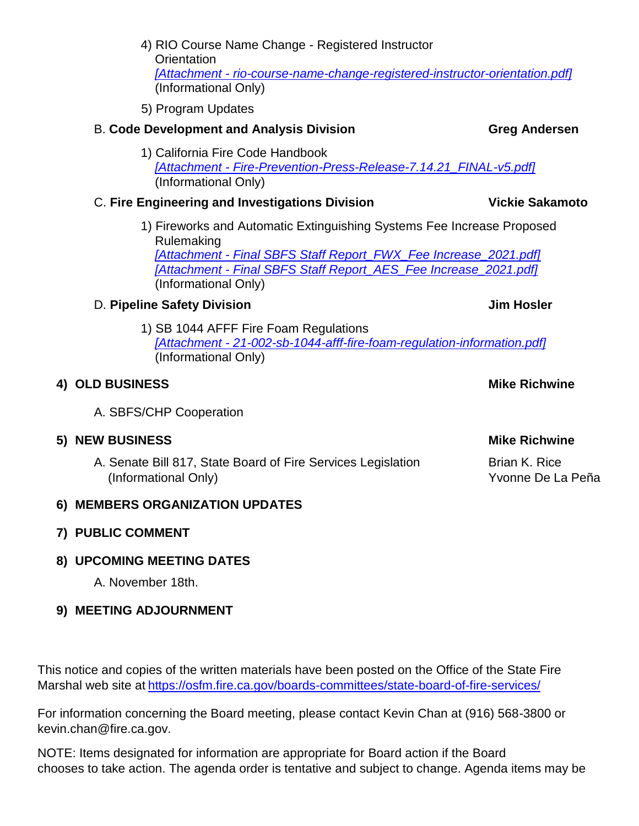- 4) RIO Course Name Change Registered Instructor **Orientation** *[Attachment - [rio-course-name-change-registered-instructor-orientation.pdf\]](https://osfm.fire.ca.gov/media/5p4bla41/rio-course-name-change-registered-instructor-orientation.pdf)* (Informational Only)
- 5) Program Updates

## B. **Code Development and Analysis Division Greg Andersen**

1) California Fire Code Handbook *[Attachment - [Fire-Prevention-Press-Release-7.14.21\\_FINAL-v5.pdf\]](https://cdn-web.iccsafe.org/wp-content/uploads/Fire-Prevention-Press-Release-7.14.21_FINAL-v5.pdf)* (Informational Only)

## C. **Fire Engineering and Investigations Division Vickie Sakamoto**

1) Fireworks and Automatic Extinguishing Systems Fee Increase Proposed Rulemaking *[Attachment - [Final SBFS Staff Report\\_FWX\\_Fee Increase\\_2021.pdf\]](https://www.fire.ca.gov/media/3ruozfyf/final-sbfs-staff-report_fwx_fee-increase_2021.pdf) [Attachment - [Final SBFS Staff Report\\_AES\\_Fee Increase\\_2021.pdf\]](https://www.fire.ca.gov/media/lkof4wwl/final-sbfs-staff-report_aes_fee-increase_2021.pdf)* (Informational Only)

# D. **Pipeline Safety Division Jim Hosler**

1) SB 1044 AFFF Fire Foam Regulations *[Attachment - [21-002-sb-1044-afff-fire-foam-regulation-information.pdf\]](https://osfm.fire.ca.gov/media/urhnxkuf/21-002-sb-1044-afff-fire-foam-regulation-information.pdf)* (Informational Only)

# **4) OLD BUSINESS Mike Richwine**

A. SBFS/CHP Cooperation

# **5) NEW BUSINESS Mike Richwine**

A. Senate Bill 817, State Board of Fire Services Legislation Brian K. Rice (Informational Only) (Informational Only)

### **6) MEMBERS ORGANIZATION UPDATES**

### **7) PUBLIC COMMENT**

# **8) UPCOMING MEETING DATES**

A. November 18th.

# **9) MEETING ADJOURNMENT**

This notice and copies of the written materials have been posted on the Office of the State Fire Marshal web site at <https://osfm.fire.ca.gov/boards-committees/state-board-of-fire-services/>

For information concerning the Board meeting, please contact Kevin Chan at (916) 568-3800 or kevin.chan@fire.ca.gov.

NOTE: Items designated for information are appropriate for Board action if the Board chooses to take action. The agenda order is tentative and subject to change. Agenda items may be